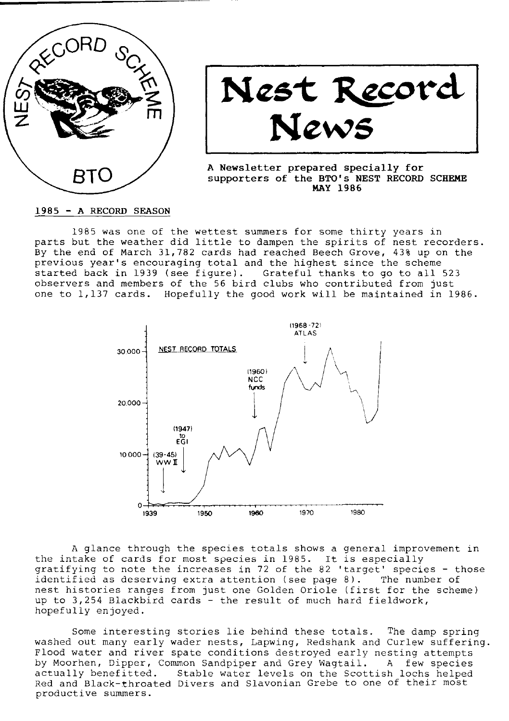

Nest Record News

A Newsletter prepared specially for supporters of the BTO's NEST RECORD SCHEME **MAY 1986** 

1985 - A RECORD SEASON

1985 was one of the wettest sunmers for some thirty years in parts but the weather did little to dampen the spirits of nest recorders By the end of March 3I,782 cards had reached Beech crove, 43t up on the previous year's encouraging total and the highest since the scheme started back in 1939 (see figure). Grateful thanks to go to all 523 observers and members of the 56 bird clubs who contributed from just one to L,137 cards. Hopefully the good work wiII be naintained in 1986.



A glance through the species totals shows a general improvement in the intake of cards for most species in 1985. It is especially gratifying to note the increases in 72 of the 82 'target' species - those<br>identified as deserving extra attention (see page 8). The number of identified as deserving extra attention (see page  $8$ ). nest histories ranges from just one Golden Oriole (first for the scheme) up to 3,254 Blackbird cards - the result of much hard fieldwork, hopefully enjoyed.

Some interesting stories lie behind these totals. The damp spring washed out many early wader nests, Lapwing, Redshank and Curlew suffering. FIood water and river spate conditions destroyed early nesting attempts by Moorhen, Dipper, Common Sandpiper and Grey WagtaiI. A few species actually benefitted. Stable water levels on the Scottish lochs helped Red and Black-throated Divers and Slavonian Grebe to one of their most productive sunmers.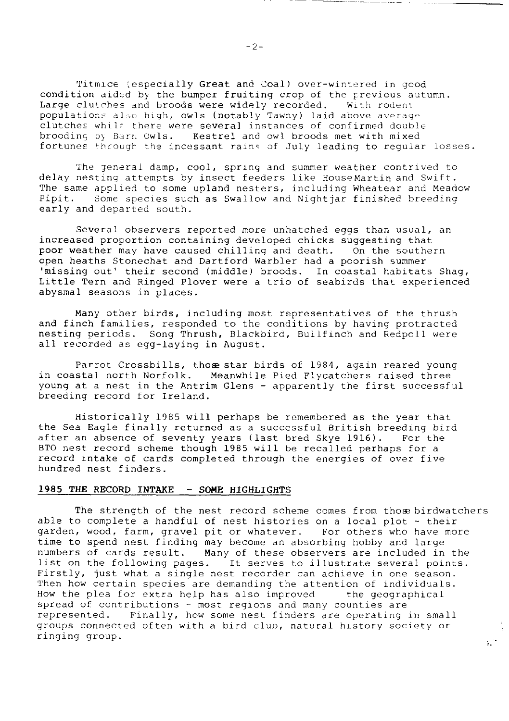Titmice (especially Great and Coal) over-wintered in good condition aided by the bumper fruiting crop of the previous autumn. Large clutches and broods were widely recorded. With rodent populations also high, owls (notably Tawny) laid above average clutches while there were several instances of confirmed double brooding by Barn Owls. Kestrel and owl broods met with mixed fortunes through the incessant rains of July leading to regular losses.

The general damp, cool, spring and summer weather contrived to delay nesting attempts by insect feeders like HouseMartin and Swift. The same applied to some upland nesters, including Wheatear and Meadow<br>Pipit. Some species such as Swallow and Nightiar finished breeding Some species such as Swallow and Nightjar finished breeding early and departed south.

Several observers reported more unhatched eggs than usual, an increased proportion containing developed chicks suggesting that poor weather may have caused chilling and death. On the southern open heaths Stonechat and Dartford Warbler had a poorish summer 'missing out' their second (middle) broods. In coastal habitats Shag, LittLe Tern and Ringed Plover were a trio of seabirds that experienced abysmal seasons in places.

Many other birds, including most representatives of the thrush and finch families, responded to the conditions by having protracted nesting periods. Song Thrush, Blackbird. Bullfinch and Redpoll were all reccrded as egg-Iaying in August.

Parrot Crossbills, those star birds of 1984, again reared young in coastal north Norfolk. Meanwhile Pied Flycatchers raised thre young at a nest in the Antrim G1ens - apparently the first successful breeding record for Ireland.

Historically 1985 will perhaps be remembered as the year that the Sea Eagle finally returned as a successful British breeding bird after an absence of seventy years (last bred Skye 1916). For the after an absence of seventy years (last bred Skye 1916). BTO nest record scheme though 1985 will be recalled perhaps for a record intake of cards compLeted through the energies of over five hundred nest finders.

# 1985 THE RECORD INTAKE  $-$  SOME HIGHLIGHTS

The strength of the nest record scheme comes from those birdwatchers able to complete a handful of nest histories on a local plot - their<br>garden, wood, farm, gravel pit or whatever. For others who have more garden, wood, farm, gravel pit or whatever. time to spend nest finding may become an absorbing hobby and large numbers of cards result. Many of these observers are included in the list on the following pages. It serves to illustrate several points. Firstly, just what a single nest recorder can achieve in one season. Then how certain species are demanding the attention of individuals.<br>How the plea for extra help has also improved the geographical How the plea for extra help has also improved spread of contributions - most regions and many counties are represented. Finally, how some nest finders are operating in small groups connected often with a bird club, natural history society or ringing group.  $\frac{1}{2}$  .

 $-2-$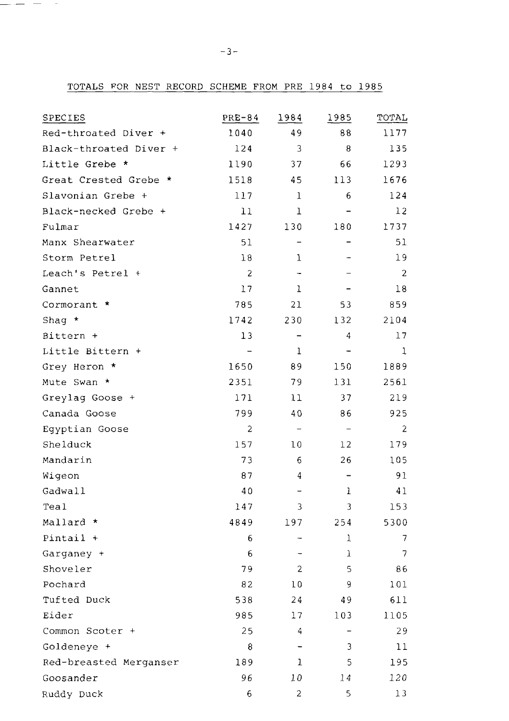TOTALS FOR NEST RECORD SCHEME FROM PRE 1984 to 1985

| SPECIES                | $PRE-84$                 | 1984                     | 1985                     | TOTAL          |
|------------------------|--------------------------|--------------------------|--------------------------|----------------|
| Red-throated Diver +   | 1040                     | 49                       | 88                       | 1177           |
| Black-throated Diver + | 124                      | 3                        | 8                        | 135            |
| Little Grebe *         | 1190                     | 37                       | 66                       | 1293           |
| Great Crested Grebe *  | 1518                     | 45                       | 113                      | 1676           |
| Slavonian Grebe +      | 117                      | $\mathbf{1}$             | 6                        | 124            |
| Black-necked Grebe +   | 11                       | $\mathbf{1}$             |                          | 12             |
| Fulmar                 | 1427                     | 130                      | 180                      | 1737           |
| Manx Shearwater        | 51                       |                          |                          | 51             |
| Storm Petrel           | 18                       | 1                        |                          | 19             |
| Leach's Petrel +       | $\overline{c}$           |                          |                          | $\overline{c}$ |
| Gannet                 | 17                       | 1                        |                          | 18             |
| Cormorant *            | 785                      | 21                       | 53                       | 859            |
| Shaq $*$               | 1742                     | 230                      | 132                      | 2104           |
| Bittern +              | 13                       | $\overline{a}$           | 4                        | 17             |
| Little Bittern +       | $\overline{\phantom{a}}$ | $\mathbf 1$              | $\overline{\phantom{0}}$ | 1              |
| Grey Heron *           | 1650                     | 89                       | 150                      | 1889           |
| Mute Swan *            | 2351                     | 79                       | 131                      | 2561           |
| Greylag Goose +        | 171                      | 11                       | 37                       | 219            |
| Canada Goose           | 799                      | 40                       | 86                       | 925            |
| Egyptian Goose         | $\overline{c}$           | $\overline{\phantom{a}}$ | $\overline{\phantom{a}}$ | 2              |
| Shelduck               | 157                      | 10                       | 12                       | 179            |
| Mandarin               | 73                       | 6                        | 26                       | 105            |
| Wigeon                 | 87                       | 4                        | -                        | 91             |
| Gadwall                | 40                       | $\overline{\phantom{0}}$ | ı                        | 41             |
| Teal                   | 147                      | 3                        | 3                        | 153            |
| Mallard *              | 4849                     | 197                      | 254                      | 5300           |
| $Pintail +$            | 6                        | -                        | 1                        | 7              |
| Garganey +             | 6                        | -                        | ı                        | 7              |
| Shoveler               | 79                       | $\overline{2}$           | 5                        | 86             |
| Pochard                | 82                       | 10                       | 9                        | 101            |
| Tufted Duck            | 538                      | 24                       | 49                       | 611            |
| Eider                  | 985                      | 17                       | 103                      | 1105           |
| Common Scoter +        | 25                       | 4                        | $\overline{\phantom{0}}$ | 29             |
| Goldeneye +            | 8                        |                          | 3                        | 11             |
| Red-breasted Merganser | 189                      | 1                        | 5                        | 195            |
| Goosander              | 96                       | 10                       | 14                       | 120            |
| Ruddy Duck             | 6                        | $\overline{2}$           | 5                        | 13             |

 $\frac{1}{2}$  and  $\frac{1}{2}$  and  $\frac{1}{2}$  and  $\frac{1}{2}$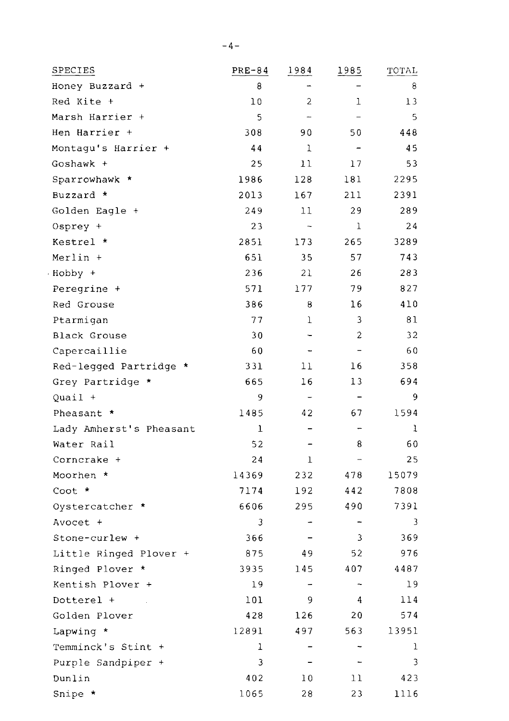| SPECIES                 | PRE-84       | 1984                     | 1985                     | TOTAL |
|-------------------------|--------------|--------------------------|--------------------------|-------|
| Honey Buzzard +         | 8            | $\overline{\phantom{0}}$ |                          | 8     |
| Red Kite +              | 10           | 2                        | ı                        | 13    |
| Marsh Harrier +         | 5            |                          |                          | 5     |
| Hen Harrier +           | 308          | 90                       | 50                       | 448   |
| Montagu's Harrier +     | 44           | 1                        | $\overline{\phantom{a}}$ | 45    |
| Goshawk +               | 25           | 11                       | 17                       | 53    |
| Sparrowhawk *           | 1986         | 128                      | 181                      | 2295  |
| Buzzard *               | 2013         | 167                      | 211                      | 2391  |
| Golden Eagle +          | 249          | 11                       | 29                       | 289   |
| Osprey +                | 23           |                          | 1                        | 24    |
| Kestrel *               | 2851         | 173                      | 265                      | 3289  |
| Merlin +                | 651          | 35                       | 57                       | 743   |
| · Hobby +               | 236          | 21                       | 26                       | 283   |
| Peregrine +             | 571          | 177                      | 79                       | 827   |
| Red Grouse              | 386          | 8                        | 16                       | 410   |
| Ptarmiqan               | 77           | ı                        | 3                        | 81    |
| Black Grouse            | 30           |                          | $\overline{c}$           | 32    |
| Capercaillie            | 60           |                          | $\overline{\phantom{a}}$ | 60    |
| Red-legged Partridge *  | 331          | 11                       | 16                       | 358   |
| Grey Partridge *        | 665          | 16                       | 13                       | 694   |
| Quail +                 | 9            |                          | $\qquad \qquad -$        | 9     |
| Pheasant *              | 1485         | 42                       | 67                       | 1594  |
| Lady Amherst's Pheasant | $\mathbf{1}$ |                          | -                        | ı     |
| Water Rail              | 52           |                          | 8                        | 60    |
| Corncrake +             | 24           | ı                        | $\overline{\phantom{0}}$ | 25    |
| Moorhen *               | 14369        | 232                      | 478                      | 15079 |
| Coot *                  | 7174         | 192                      | 442                      | 7808  |
| Oystercatcher *         | 6606         | 295                      | 490                      | 7391  |
| Avocet +                | 3            | ٠                        | $\overline{\phantom{0}}$ | 3     |
| Stone-curlew +          | 366          |                          | 3                        | 369   |
| Little Ringed Plover +  | 875          | 49                       | 52                       | 976   |
| Ringed Plover *         | 3935         | 145                      | 407                      | 4487  |
| Kentish Plover +        | 19           |                          | -                        | 19    |
| Dotterel +<br>$\alpha$  | 101          | 9                        | 4                        | 114   |
| Golden Plover           | 428          | 126                      | 20                       | 574   |
| Lapwing *               | 12891        | 497                      | 563                      | 13951 |
| Temminck's Stint +      | ı            |                          |                          | ı     |
| Purple Sandpiper +      | 3            |                          |                          | 3     |
| Dunlin                  | 402          | 10                       | 11                       | 423   |
| Snipe *                 | 1065         | 28                       | 23                       | 1116  |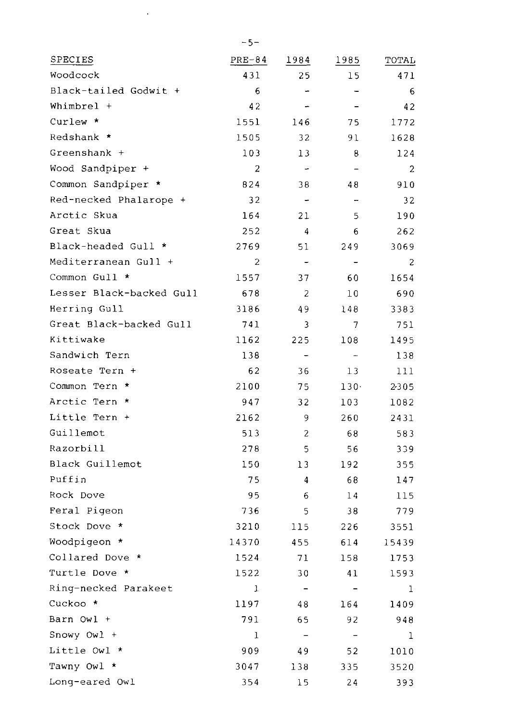| SPECIES                  | PRE-84         | 1984                     | <u>1985</u>              | TOTAL |
|--------------------------|----------------|--------------------------|--------------------------|-------|
| Woodcock                 | 431            | 25                       | 15                       | 471   |
| Black-tailed Godwit +    | 6              | $\frac{1}{2}$            | -                        | 6     |
| Whimbrel +               | 42             | $\overline{a}$           |                          | 42    |
| Curlew *                 | 1551           | 146                      | 75                       | 1772  |
| Redshank *               | 1505           | 32                       | 91                       | 1628  |
| Greenshank +             | 103            | 13                       | 8                        | 124   |
| Wood Sandpiper +         | $\overline{2}$ | $\overline{a}$           | $\overline{a}$           | 2     |
| Common Sandpiper *       | 824            | 38                       | 48                       | 910   |
| Red-necked Phalarope +   | 32             | $\overline{\phantom{0}}$ | $\overline{a}$           | 32    |
| Arctic Skua              | 164            | 21                       | 5                        | 190   |
| Great Skua               | 252            | 4                        | 6                        | 262   |
| Black-headed Gull *      | 2769           | 51                       | 249                      | 3069  |
| Mediterranean Gull +     | $\overline{2}$ | $\overline{a}$           |                          | 2     |
| Common Gull *            | 1557           | 37                       | 60                       | 1654  |
| Lesser Black-backed Gull | 678            | 2                        | 10                       | 690   |
| Herring Gull             | 3186           | 49                       | 148                      | 3383  |
| Great Black-backed Gull  | 741            | 3                        | $\overline{7}$           | 751   |
| Kittiwake                | 1162           | 225                      | 108                      | 1495  |
| Sandwich Tern            | 138            | ÷                        | $\overline{\phantom{a}}$ | 138   |
| Roseate Tern +           | 62             | 36                       | 13                       | 111   |
| Common Tern *            | 2100           | 75                       | $130-$                   | 2-305 |
| Arctic Tern *            | 947            | 32                       | 103                      | 1082  |
| Little Tern +            | 2162           | 9                        | 260                      | 2431  |
| Guillemot                | 513            | $\overline{c}$           | 68                       | 583   |
| Razorbill                | 278            | 5                        | 56                       | 339   |
| Black Guillemot          | 150            | 13                       | 192                      | 355   |
| Puffin                   | 75             | 4                        | 68                       | 147   |
| Rock Dove                | 95             | 6                        | 14                       | 115   |
| Feral Pigeon             | 736            | 5                        | 38                       | 779   |
| Stock Dove *             | 3210           | 115                      | 226                      | 3551  |
| Woodpigeon *             | 14370          | 455                      | 614                      | 15439 |
| Collared Dove *          | 1524           | 71                       | 158                      | 1753  |
| Turtle Dove *            | 1522           | 30                       | 41                       | 1593  |
| Ring-necked Parakeet     | 1              |                          | $\overline{\phantom{0}}$ | 1     |
| Cuckoo *                 | 1197           | 48                       | 164                      | 1409  |
| Barn Owl +               | 791            | 65                       | 92                       | 948   |
| Snowy $0w1 +$            | ı              | $\overline{\phantom{a}}$ | $\overline{\phantom{a}}$ | ı     |
| Little Owl *             | 909            | 49                       | 52                       | 1010  |
| Tawny Owl *              | 3047           | 138                      | 335                      | 3520  |
| Long-eared Owl           | 354            | 15                       | 24                       | 393   |
|                          |                |                          |                          |       |

 $\sim 10^{-11}$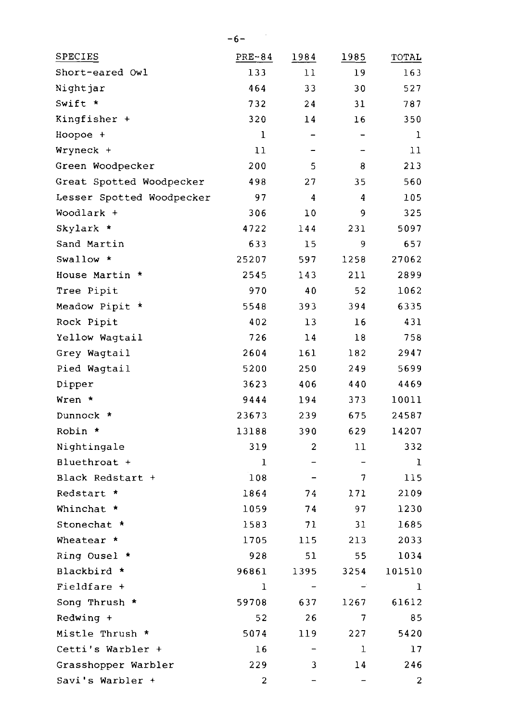| <b>SPECIES</b>            | PRE-84 | 1984                     | <u>1985</u>    | TOTAL  |
|---------------------------|--------|--------------------------|----------------|--------|
| Short-eared Owl           | 133    | 11                       | 19             | 163    |
| Nightjar                  | 464    | 33                       | 30             | 527    |
| Swift *                   | 732    | 24                       | 31             | 787    |
| Kingfisher +              | 320    | 14                       | 16             | 350    |
| Hoopoe +                  | ı      | $\overline{\phantom{0}}$ | $\overline{a}$ | ı      |
| Wryneck +                 | 11     | -                        | -              | 11     |
| Green Woodpecker          | 200    | 5                        | 8              | 213    |
| Great Spotted Woodpecker  | 498    | 27                       | 35             | 560    |
| Lesser Spotted Woodpecker | 97     | 4                        | 4              | 105    |
| Woodlark +                | 306    | 10                       | 9              | 325    |
| Skylark *                 | 4722   | 144                      | 231            | 5097   |
| Sand Martin               | 633    | 15                       | 9              | 657    |
| Swallow $\star$           | 25207  | 597                      | 1258           | 27062  |
| House Martin *            | 2545   | 143                      | 211            | 2899   |
| Tree Pipit                | 970    | 40                       | 52             | 1062   |
| Meadow Pipit *            | 5548   | 393                      | 394            | 6335   |
| Rock Pipit                | 402    | 13                       | 16             | 431    |
| Yellow Waqtail            | 726    | 14                       | 18             | 758    |
| Grey Wagtail              | 2604   | 161                      | 182            | 2947   |
| Pied Wagtail              | 5200   | 250                      | 249            | 5699   |
| Dipper                    | 3623   | 406                      | 440            | 4469   |
| Wren *                    | 9444   | 194                      | 373            | 10011  |
| Dunnock *                 | 23673  | 239                      | 675            | 24587  |
| Robin *                   | 13188  | 390                      | 629            | 14207  |
| Nightingale               | 319    | 2                        | 11             | 332    |
| Bluethroat +              | ı      |                          |                | ı      |
| Black Redstart +          | 108    |                          | 7              | 115    |
| Redstart *                | 1864   | 74                       | 171            | 2109   |
| Whinchat *                | 1059   | 74                       | 97             | 1230   |
| Stonechat *               | 1583   | 71                       | 31             | 1685   |
| Wheatear *                | 1705   | 115                      | 213            | 2033   |
| Ring Ousel *              | 928    | 51                       | 55             | 1034   |
| Blackbird *               | 96861  | 1395                     | 3254           | 101510 |
| Fieldfare +               | ı      |                          |                | ı      |
| Song Thrush *             | 59708  | 637                      | 1267           | 61612  |
| Redwing +                 | 52     | 26                       | 7              | 85     |
| Mistle Thrush *           | 5074   | 119                      | 227            | 5420   |
| Cetti's Warbler +         | 16     |                          | 1              | 17     |
| Grasshopper Warbler       | 229    | 3                        | 14             | 246    |
| Savi's Warbler +          | 2      | $\overline{\phantom{0}}$ | <sup>-</sup>   | 2      |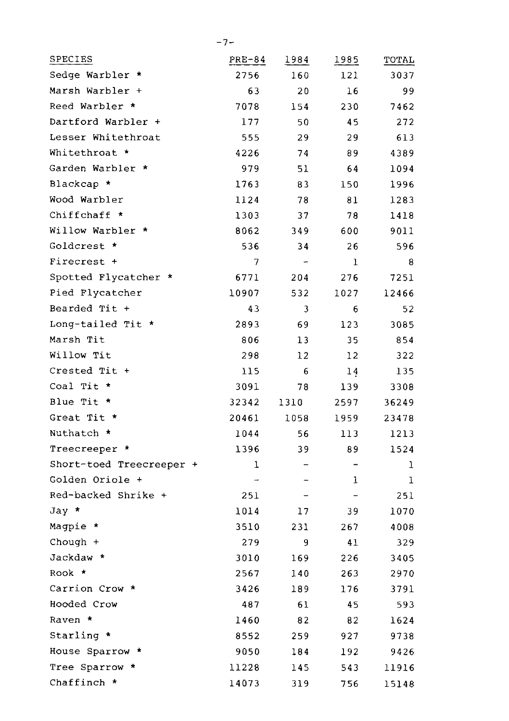| SPECIES                  | PRE-84 | 1984                     | 1985                     | TOTAL |
|--------------------------|--------|--------------------------|--------------------------|-------|
| Sedge Warbler *          | 2756   | 160                      | 121                      | 3037  |
| Marsh Warbler +          | 63     | 20                       | 16                       | 99    |
| Reed Warbler *           | 7078   | 154                      | 230                      | 7462  |
| Dartford Warbler +       | 177    | 50                       | 45                       | 272   |
| Lesser Whitethroat       | 555    | 29                       | 29                       | 613   |
| Whitethroat *            | 4226   | 74                       | 89                       | 4389  |
| Garden Warbler *         | 979    | 51                       | 64                       | 1094  |
| Blackcap *               | 1763   | 83                       | 150                      | 1996  |
| Wood Warbler             | 1124   | 78                       | 81                       | 1283  |
| Chiffchaff *             | 1303   | 37                       | 78                       | 1418  |
| Willow Warbler *         | 8062   | 349                      | 600                      | 9011  |
| Goldcrest *              | 536    | 34                       | 26                       | 596   |
| Firecrest +              | 7      | $\overline{a}$           | ı                        | 8     |
| Spotted Flycatcher *     | 6771   | 204                      | 276                      | 7251  |
| Pied Flycatcher          | 10907  | 532                      | 1027                     | 12466 |
| Bearded Tit +            | 43     | 3                        | 6                        | 52    |
| Long-tailed Tit *        | 2893   | 69                       | 123                      | 3085  |
| Marsh Tit                | 806    | 13                       | 35                       | 854   |
| Willow Tit               | 298    | 12                       | 12                       | 322   |
| Crested Tit +            | 115    | 6                        | 14                       | 135   |
| Coal Tit *               | 3091   | 78                       | 139                      | 3308  |
| Blue Tit *               | 32342  | 1310                     | 2597                     | 36249 |
| Great Tit *              | 20461  | 1058                     | 1959                     | 23478 |
| Nuthatch *               | 1044   | 56                       | 113                      | 1213  |
| Treecreeper *            | 1396   | 39                       | 89                       | 1524  |
| Short-toed Treecreeper + | 1      | $\overline{\phantom{0}}$ | $\overline{\phantom{0}}$ | ı     |
| Golden Oriole +          | -      | -                        | ı                        | ı     |
| Red-backed Shrike +      | 251    |                          | $\overline{\phantom{0}}$ | 251   |
| Jay *                    | 1014   | 17                       | 39                       | 1070  |
| Magpie *                 | 3510   | 231                      | 267                      | 4008  |
| Chough +                 | 279    | 9                        | 41                       | 329   |
| Jackdaw *                | 3010   | 169                      | 226                      | 3405  |
| Rook *                   | 2567   | 140                      | 263                      | 2970  |
| Carrion Crow *           | 3426   | 189                      | 176                      | 3791  |
| Hooded Crow              | 487    | 61                       | 45                       | 593   |
| Raven *                  | 1460   | 82                       | 82                       | 1624  |
| Starling *               | 8552   | 259                      | 927                      | 9738  |
| House Sparrow *          | 9050   | 184                      | 192                      | 9426  |
| Tree Sparrow *           | 11228  | 145                      | 543                      | 11916 |
| Chaffinch *              | 14073  | 319                      | 756                      | 15148 |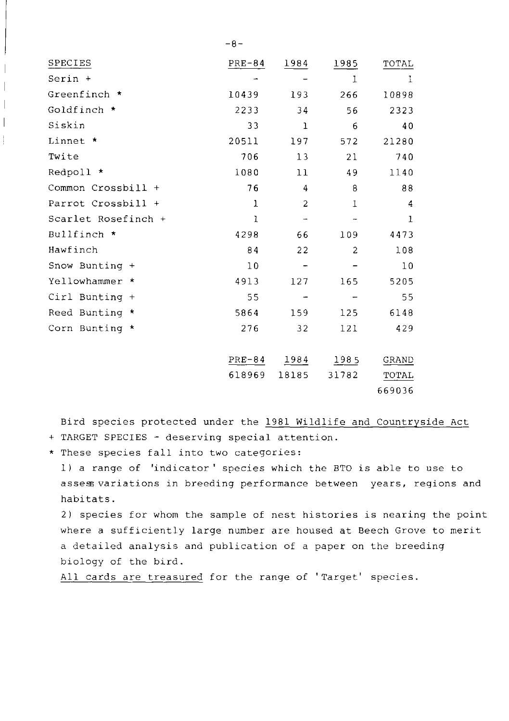| SPECIES             | $PRE-84$ | 1984           | 1985           | TOTAL          |
|---------------------|----------|----------------|----------------|----------------|
| Serin +             |          |                | $\mathbf{I}$   | 1              |
| Greenfinch *        | 10439    | 193            | 266            | 10898          |
| Goldfinch *         | 2233     | 34             | 56             | 2323           |
| Siskin              | 33       | 1              | 6              | 40             |
| Linnet *            | 20511    | 197            | 572            | 21280          |
| Twite               | 706      | 13             | 21             | 740            |
| Redpoll *           | 1080     | 11             | 49             | 1140           |
| Common Crossbill +  | 76       | 4              | 8              | 88             |
| Parrot Crossbill +  | 1        | $\overline{c}$ | $\mathbf{I}$   | $\overline{4}$ |
| Scarlet Rosefinch + | 1        | -              | -              | $\mathbf{1}$   |
| Bullfinch *         | 4298     | 66             | 109            | 4473           |
| Hawfinch            | 84       | 22             | $\overline{c}$ | 108            |
| Snow Bunting +      | 10       |                |                | 10             |
| Yellowhammer *      | 4913     | 127            | 165            | 5205           |
| Cirl Bunting +      | 55       |                |                | 55             |
| Reed Bunting *      | 5864     | 159            | 125            | 6148           |
| Corn Bunting *      | 276      | 32             | 121            | 429            |
|                     |          |                |                |                |
|                     | $PRE-84$ | 1984           | 1985           | GRAND          |
|                     | 618969   | 18185          | 31782          | <b>TOTAL</b>   |
|                     |          |                |                | 669036         |

Bird species protected under the 1981 Wildlife and Countryside Act + TARGET SPECIES - deserving special attention.

\* These species fall into two categories:

1) a range of 'indicator' species which the BTO is able to use to assess variations in breeding performance between years, regions and habitats.

2) species for whom the sample of nest histories is nearing the point where a sufficiently large number are housed at Beech Grove to merit a detailed analysis and publication of a paper on the breeding biology of the bird.

All cards are treasured for the range of 'Target' species.

 $-8-$ 

 $\overline{\phantom{a}}$  $\overline{\phantom{a}}$  $\overline{\phantom{a}}$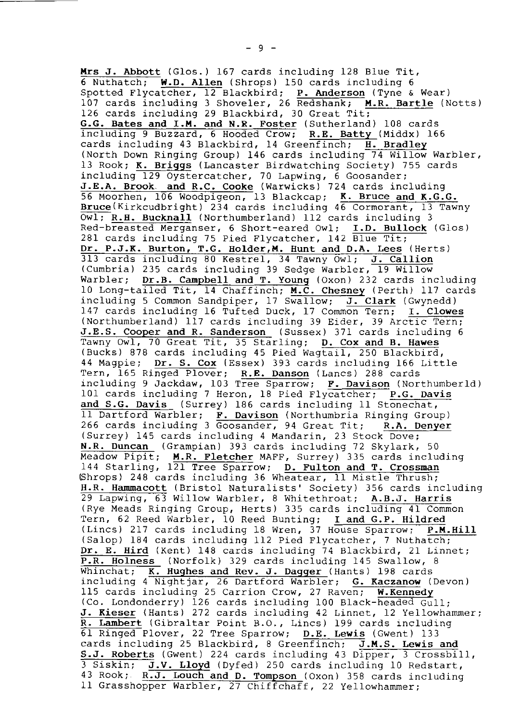Mrs J. Abbott (Glos.) 167 cards including 128 Blue Tit,<br>6 Nuthatch: W.D. Allen (Shrops) 150 cards including 6 W.D. Allen (Shrops) 150 cards including 6 Spotted Flycatcher, 12 Blackbird; P. Anderson (Tyne & Wear) 107 cards including 3 Shoveler, 26 Redshank; M.R. Bartle (Notts) 126 cards including 29 Blackbird, 30 Great Tit; G.G. Bates and I.M. and N.R. Foster (Sutherland) 108 cards including 9 Buzzard, 6 Hooded Crow; R.E. Batty (Middx) 166 cards including 43 Blackbird, 14 Greenfinch; H. Bradley (North Down Ringing Group) 146 cards including 74 Willow Warbler, 13 Rook; K. Briggs (Lancaster Birdwatching Society) 755 cards including 129 Oystercatcher, 70 Lapwing, 6 Goosander; J.E.A. Brook. and R.C. Cooke (Warwicks) 724 cards including 56 Moorhen, 106 Woodpigeon, 13 Blackcap; K. Bruce and K.G.G. Bruce(Kirkcudbright) 234 cards including  $46$  Cormorant, 13 Tawny OwI; R.H. Bucknall (Northumberland) I12 cards including 3 Red-breasted Merganser, 6 Short-eared Owl; I.D. Bullock (Glos) 281 cards including 75 Pied Flycatcher, 142 Blue Tit; Dr. P.J.K. Burton, T.G. Holder, M. Hunt and D.A. Lees (Herts) 313 cards including 80 Kestrel, 34 Tawny Owl; <u>J. Callio</u><br>(Cumbria) 235 cards including 39 Sedge Warbler, 19 Willo Warbler; Dr.B. Campbell and T. Young (Oxon) 232 cards including 10 Long-tailed Tit, 14 Chaffinch; M.C. Chesney (Perth) 117 cards including 5 Common Sandpiper, 17 Swallow; J. Clark (Gwynedd)<br>147 cards including 16 Tufted Duck, 17 Common Tern; I. Clowes 147 cards including 16 Tufted Duck, 17 Common Tern; (Northumberland)  $1\overline{17}$  cards including 39 Eider, 39 Arctic Tern; J.E.S. Cooper and R. Sanderson (Sussex) 371 cards including 6 Tawny Owl, 70 Great Tit, 35 Starling; D. Cox and B. Hawes (Bucks) 878 cards including 45 Pied Wagtail, 250 Blackbird, 44 Magpie; Dr. S. Cox (Essex) 393 cards including 166 Little Tern, 165 Ringed Plover; R.E. Danson (Lancs) 288 cards including 9 Jackdaw, 103 Tree Sparrow; F. Davison (Northumberl lOl cards including 7 Heron, 18 Pied Flycatcher; P.G. Davi and S.G. Davis (Surrey) 186 cards including 11 Stonechat, 11 Dartford Warbler; F. Davison (Northumbria Rinqinq Group) 266 cards including 3  $\overline{Goosander}$ , 94 Great Tit; R.A. Denyer (Surrey) 145 cards including 4 Mandarin, 23 Stock Dove; N.R. Duncan (Grampian) 393 cards including 72 Skylark, 50 Meadow Pipit; M.R. Fletcher MAFF, Surrey) 335 cards including 144 Starling, 121 Tree Sparrow; D. Fulton and T. Crossman (Shrops) 248 cards including 36 Wheatear, 11 Mistle Thrush; H.R. Hammacott (Bristol Naturalists' Society) 356 cards including  $29$  Lapwing,  $63$  Willow Warbler, 8 Whitethroat; A.B.J. Harris (Rye Meads Ringing Group, Herts) 335 cards including 41 Common Tern, 62 Reed Warbler, 10 Reed Bunting; I and G.P. Hildred (Lincs) 217 cards including 18 Wren, 37 House Sparrow;  $P.M.Hill$ (Salop) 184 cards including 112 Pied Flycatcher, 7 Nuthatch; Dr. E. Hird (Kent) 148 cards including 74 Blackbird, 21 Linnet; P.R. Holness (Norfolk) 329 cards including 145 Swallow, 8 (Hants) 198 cards including 4 Nightjar, 26 Dartford Warbler; G. Kaczanow (Devon) 115 cards including 25 Carrion Crow, 27 Raven; W.Kennedy (Co. Londonderry) 126 cards including 100 Black-headed  $Gull$ ; J. Kieser (Hants) 272 cards including 42 Linnet, 12 Yellowhammer; R- Lambert (Gibraltar Point B.O,, Lincs) I99 cards including 6l Ringed Plover, 22 Tree Sparrow; D.E. Lewis (Gwent) 133 cards including 25 Blackbird, 8 Greenfinch; J.M.S. Lewis and S.J. Roberts (cwent) 224 cards including 43 Dipper, 3 CrossbiII, 3 Siskin; J.V. Lloyd (Dyfed) 250 cards including 10 Redstart, 43 Rook; R.J. Louch and D. Tompson  $(0x)$  358 cards including 11 Grasshopper Warbler, 27 Chiffchaff, 22 Yellowhammer;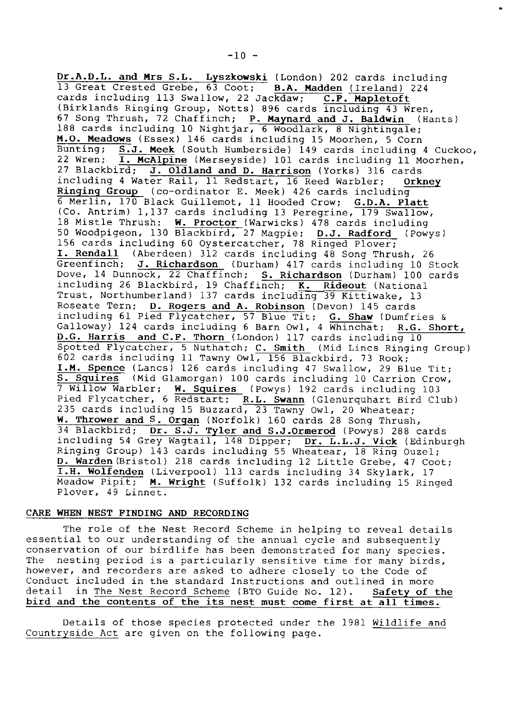Dr.A.D.L. and Mrs S.L. Lyszkowski (London) 202 cards includi B.A. Madden (Ireland) 224 cards including 113 Swallow, 22 Jackdaw; C.F. Mapletoft (Birklands Ringing croup, Notts) 896 cards including 43 Wren, 67 Song Thrush, 72 Chaffinch; P. Maynard and J. Baldwin (Hants) 188 cards including 10 Nightjar, 6 Woodlark, 8 Nightingale; M.O. Meadows (Essex) 146 cards including 15 Moorhen, 5 Corn<br>Bunting: S.J. Meek (South Humberside) 149 cards including Bunting;  $S.J.$  Meek (South Humberside) 149 cards including 4 Cuckoo, 22 Wren:  $\overline{I}$ . McAlpine (Merseyside) 101 cards including 11 Moorhen, I. McAlpine (Merseyside) 101 cards including 11 Moorhen, 27 Blackbird; J. Oldland and D. Harrison (Yorks) 316 cards<br>including 4 Water Rail, 11 Redstart, 16 Reed Warbler; Orkney including 4 Water Rail, 11 Redstart, 16 Reed Warbler; Ringing Group (co-ordinator E. Meek) 426 cards includi 6 Merlin, 170 Black Guillemot, 11 Hooded Crow; <u>G.D.A. Platt</u><br>(Co. Antrim) 1,137 cards including 13 Peregrine, 179 Swallow, 18 Mistle Thrush; W. Proctor (Warwicks) 478 cards including 50 Woodpigeon, 130 Blackbird, 27 Magpie; D.J. Radford (Powys) 156 cards including 60 Oystercatcher, 78 Ringed Plover; I. Rendall (Aberdeen) 312 cards including 48 Song Thrush, 26 Greenfinch; J. Richardson (Durham) 417 cards including 10 Stock Dove, 14 Dunnock, 22 Chaffinch; S. Richardson (Durham) 100 cards including 26 Blackbird, 19 Chaffinch; <u>K. Rideout</u> (Nationa<br>Trust, Northumberland) 137 cards including 39 Kittiwake, 13 Roseate Tern; D. Rogers and A. Robinson (Devon) 145 cards including 61 Pied Flycatcher, 57 Blue Tit; G. Shaw (Dumfries & Galloway) 124 cards including 6 Barn Owl, 4 Whinchat; R.G. Short, D.G. Harris and C.F. Thorn (London) 117 cards including 10 Spotted Flycatcher, 5 Nuthatch; C. Smith (Mid Lincs Ringing Group) 602 cards including I1 Tawny OwI, IS5 elackbird. 73 Rook; I.M. Spence (Lancs) 126 cards including 47 Swallow, 29 Blue Tit; S. Squires (Mid Glamorgan) 100 cards including 10 Carrion Crow, 7 Willow Warbler; <u>W. Squires</u> (Powys) 192 cards including 103 Pied Flycatcher, 6 Redstart; <u>R.L. Swann</u> (Glenurquhart Bird Club 235 cards including 15 Buzzard, 23 Tawny Owl, 20 Wheatear W. Thrower and S. Organ (Norfolk) 160 cards 28 Song Thrush, 34 Blackbird; Dr. S.J. Tyler and S.J.Ormerod (Powys) 288 cards including 54 Grey Wagtail, 148 Dipper; Dr. L.L.J. Vick (Edinburg Ringing Group) 143 cards including 55 Wheatear, 18 Ring Ouzel D. Warden(Bristol) 218 cards including 12 Little Grebe, 47 Coot; I.H. Wolfenden (Liverpool) 113 cards including 34 Skylark, 17 Meadow Pipit; M. Wright (Suffolk) 132 cards including 15 Ringed Plover, 49 Linnet.

# CARE WHEN NEST FINDING AND RECORDING

The role of the Nest Record Scheme in helping to reveal detaits essential to our understanding of the annual  $cyclic$  and subsequently conservation of our birdlife has been demonstrated for many species. The nesting period is a particularly sensitive time for many birds, however, and recorders are asked to adhere closely to the Code of Conduct included in the standard Instructions and outlined in more detail in The Nest Record Scheme (BTO Guide No. 12). Safety of the bird and the contents of the its nest must come first at all times.

Details of those species protected under the l98I wildlife andCountryside Act are given on the following page.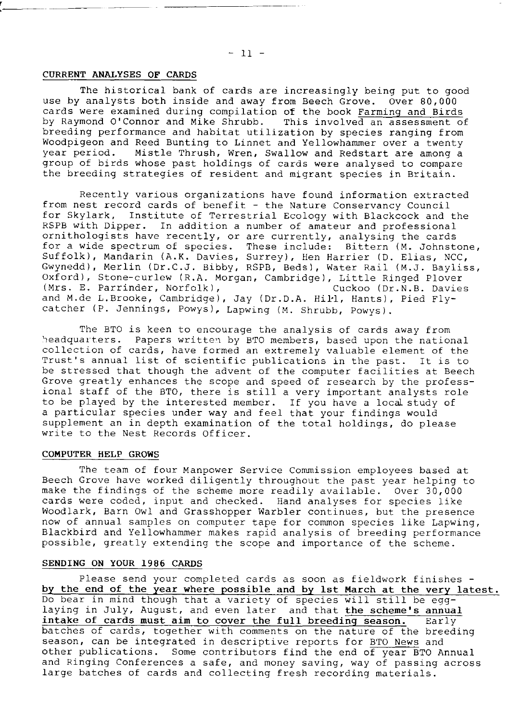## CURRENT ANALYSES OF CARDS

The historical bank of cards are increasingly being put to good use by analysts both inside and away from Beech crove. Over 80,000 cards were examined during compilation of the book Farming and Birds by Raymond O'Connor and Mike Shrubb. This involved an assessment of breeding performance and habitat utilization by species ranging from Woodpigeon and Reed Bunting to Linnet and Yellowhammer over a twenty<br>year period. Mistle Thrush, Wren, Swallow and Redstart are among a Mistle Thrush, Wren, Swallow and Redstart are among a group of birds whose past holdings of cards were analysed to compare the breeding strategies of resident and migrant species in Britain.

Recently various organizations have found information extracted from nest record cards of benefit - the Nature Conservancy Council for Skylark, Institute of Terrestrial Ecology with Blackcock and the RSPB with Dipper. In addition a number of amateur and professional ornithologists have recently, or are currently, analysing the cards for a wide spectrum of species. These include: Bittern (M. Johnstone, Suffolk), Mandarin (A.K. Davies, Surrey), Hen Harrier (D. Elias, NCC, Gwynedd), Merlin (Dr.C.J. eibby, RSPB, Beds), Water RaiI (M.J. BayIiss, Oxford), Stone-curlew (R.A. Morgan, Cambridge), Little Ringed Plover<br>(Mrs. E. Parrinder, Norfolk), (Cuckoo (Dr.N.B. Davies) (Mrs. E. Parrinder, Norfolk), and M.de L.Brooke, Cambridge), Jay (Dr.D.A. Hill, Hants), Pied Flycatcher (P. Jennings, Powys), Lapwing (M. Shrubb, Powys).

The BTO is keen to encourage the analysis of cards away from headquarters. Papers written by BTO members, based upon the national collection of cards, have formed an extremely valuable element of the Trust's annual list of scientific publications in the past. It is to be stressed that though the advent of the computer facilities at Beech Grove greatly enhances the scope and speed of research by the professional staff of the BTO, there is still a very important analysts role to be played by the interested member. If you have a local study of a particular species under way and feel that your findings would supplement an in depth examination of the total holdings, do please write to the Nest Records Officer.

#### COMPUTER HELP GROWS

The team of four Manpower Service Commission employees based at Beech Grove have worked diligently throughout the past year helping to make the findings of the scheme more readily available. Over 30,000 cards were coded, input and checked. Hand analyses for species like Woodlark, Barn Owl and Grasshopper Warbler continues, but the presence now of annual samples on computer tape for common species like Lapwing, Blackbird and Yellowhammer makes rapid analysis of breeding performance possible, greatly extending the scope and importance of the scheme.

#### SENDING ON YOUR 1986 CARDS

Please send your completed cards as soon as fieldwork finishes by the end of the year where possible and by lst March at the very latest. Do bear in mind though that a variety of species will still be egglaying in July, August, and even later and that the scheme's annual intake of cards must aim to cover the full breeding season. Early batches of cards. together wlth comments on the nature of the breeding season, can be integrated in descriptive reports for BTO News and other publications. Some contributors find the end of year BTO Annual and Ringing Conferences a safe, and money saving, way of passing across Iarge batches of cards and collecting fresh recording materials.